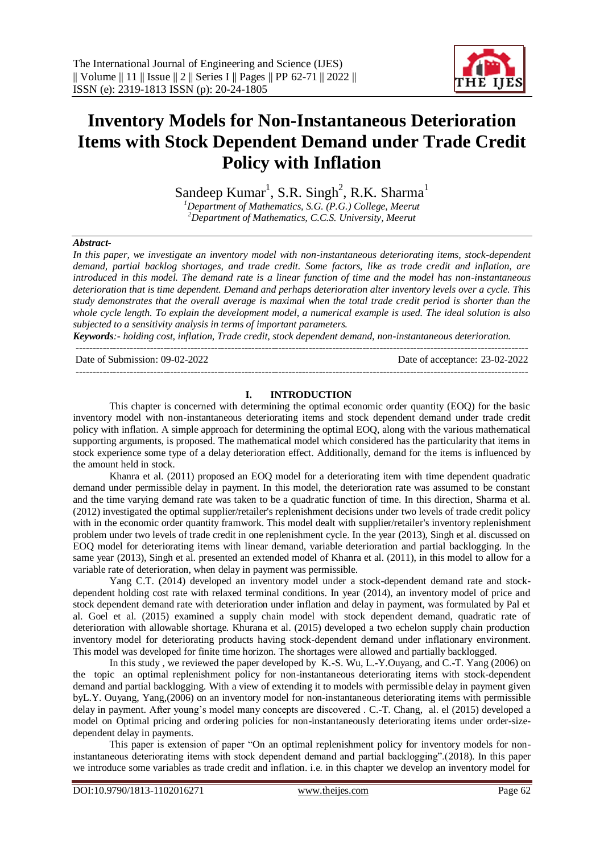

# **Inventory Models for Non-Instantaneous Deterioration Items with Stock Dependent Demand under Trade Credit Policy with Inflation**

Sandeep Kumar<sup>1</sup>, S.R. Singh<sup>2</sup>, R.K. Sharma<sup>1</sup>

*<sup>1</sup>Department of Mathematics, S.G. (P.G.) College, Meerut <sup>2</sup>Department of Mathematics, C.C.S. University, Meerut*

#### *Abstract-*

*In this paper, we investigate an inventory model with non-instantaneous deteriorating items, stock-dependent demand, partial backlog shortages, and trade credit. Some factors, like as trade credit and inflation, are introduced in this model. The demand rate is a linear function of time and the model has non-instantaneous deterioration that is time dependent. Demand and perhaps deterioration alter inventory levels over a cycle. This study demonstrates that the overall average is maximal when the total trade credit period is shorter than the whole cycle length. To explain the development model, a numerical example is used. The ideal solution is also subjected to a sensitivity analysis in terms of important parameters.*

*Keywords:- holding cost, inflation, Trade credit, stock dependent demand, non-instantaneous deterioration.*

-------------------------------------------------------------------------------------------------------------------------------------- Date of Submission: 09-02-2022 Date of acceptance: 23-02-2022 --------------------------------------------------------------------------------------------------------------------------------------

#### **I. INTRODUCTION**

This chapter is concerned with determining the optimal economic order quantity (EOQ) for the basic inventory model with non-instantaneous deteriorating items and stock dependent demand under trade credit policy with inflation. A simple approach for determining the optimal EOQ, along with the various mathematical supporting arguments, is proposed. The mathematical model which considered has the particularity that items in stock experience some type of a delay deterioration effect. Additionally, demand for the items is influenced by the amount held in stock.

Khanra et al. (2011) proposed an EOQ model for a deteriorating item with time dependent quadratic demand under permissible delay in payment. In this model, the deterioration rate was assumed to be constant and the time varying demand rate was taken to be a quadratic function of time. In this direction, Sharma et al. (2012) investigated the optimal supplier/retailer's replenishment decisions under two levels of trade credit policy with in the economic order quantity framwork. This model dealt with supplier/retailer's inventory replenishment problem under two levels of trade credit in one replenishment cycle. In the year (2013), Singh et al. discussed on EOQ model for deteriorating items with linear demand, variable deterioration and partial backlogging. In the same year (2013), Singh et al. presented an extended model of Khanra et al. (2011), in this model to allow for a variable rate of deterioration, when delay in payment was permissible.

Yang C.T. (2014) developed an inventory model under a stock-dependent demand rate and stockdependent holding cost rate with relaxed terminal conditions. In year (2014), an inventory model of price and stock dependent demand rate with deterioration under inflation and delay in payment, was formulated by Pal et al. Goel et al. (2015) examined a supply chain model with stock dependent demand, quadratic rate of deterioration with allowable shortage. Khurana et al. (2015) developed a two echelon supply chain production inventory model for deteriorating products having stock-dependent demand under inflationary environment. This model was developed for finite time horizon. The shortages were allowed and partially backlogged.

In this study , we reviewed the paper developed by K.-S. Wu, L.-Y.Ouyang, and C.-T. Yang (2006) on the topic an optimal replenishment policy for non-instantaneous deteriorating items with stock-dependent demand and partial backlogging. With a view of extending it to models with permissible delay in payment given byL.Y. Ouyang, Yang,(2006) on an inventory model for non-instantaneous deteriorating items with permissible delay in payment. After young's model many concepts are discovered . C.-T. Chang, al. el (2015) developed a model on Optimal pricing and ordering policies for non-instantaneously deteriorating items under order-sizedependent delay in payments.

This paper is extension of paper "On an optimal replenishment policy for inventory models for noninstantaneous deteriorating items with stock dependent demand and partial backlogging".(2018). In this paper we introduce some variables as trade credit and inflation. i.e. in this chapter we develop an inventory model for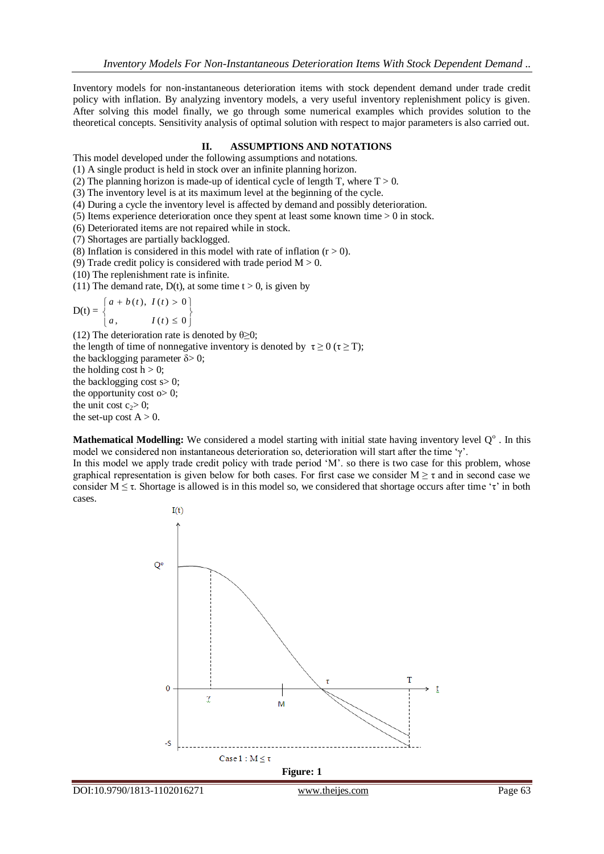Inventory models for non-instantaneous deterioration items with stock dependent demand under trade credit policy with inflation. By analyzing inventory models, a very useful inventory replenishment policy is given. After solving this model finally, we go through some numerical examples which provides solution to the theoretical concepts. Sensitivity analysis of optimal solution with respect to major parameters is also carried out.

#### **II. ASSUMPTIONS AND NOTATIONS**

This model developed under the following assumptions and notations.

(1) A single product is held in stock over an infinite planning horizon.

(2) The planning horizon is made-up of identical cycle of length T, where  $T > 0$ .

(3) The inventory level is at its maximum level at the beginning of the cycle.

(4) During a cycle the inventory level is affected by demand and possibly deterioration.

(5) Items experience deterioration once they spent at least some known time > 0 in stock.

(6) Deteriorated items are not repaired while in stock.

(7) Shortages are partially backlogged.

(8) Inflation is considered in this model with rate of inflation  $(r > 0)$ .

(9) Trade credit policy is considered with trade period  $M > 0$ .

(10) The replenishment rate is infinite.

(11) The demand rate,  $D(t)$ , at some time  $t > 0$ , is given by

$$
D(t) = \begin{cases} a + b(t), & I(t) > 0 \\ a, & I(t) \le 0 \end{cases}
$$

(12) The deterioration rate is denoted by  $\theta \geq 0$ ; the length of time of nonnegative inventory is denoted by  $\tau \ge 0$  ( $\tau \ge T$ ); the backlogging parameter  $\delta$  > 0; the holding cost  $h > 0$ ; the backlogging cost  $s > 0$ ; the opportunity cost  $\infty$  0; the unit cost  $c_2 > 0$ ; the set-up cost  $A > 0$ .

Mathematical Modelling: We considered a model starting with initial state having inventory level Q°. In this model we considered non instantaneous deterioration so, deterioration will start after the time 'γ'.

In this model we apply trade credit policy with trade period 'M'. so there is two case for this problem, whose graphical representation is given below for both cases. For first case we consider  $M \ge \tau$  and in second case we consider  $M \leq \tau$ . Shortage is allowed is in this model so, we considered that shortage occurs after time ' $\tau$ ' in both cases.

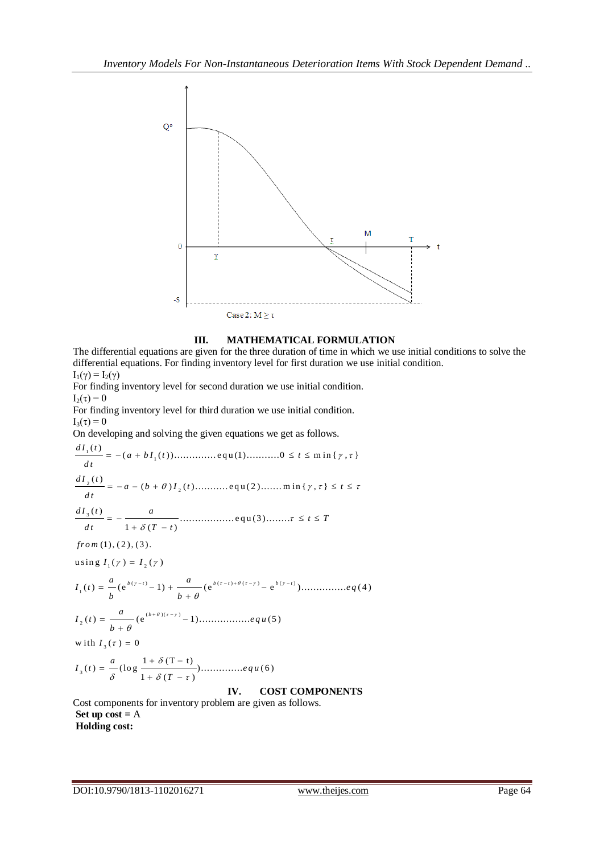

## **III. MATHEMATICAL FORMULATION**

The differential equations are given for the three duration of time in which we use initial conditions to solve the differential equations. For finding inventory level for first duration we use initial condition.  $I_1(\gamma) = I_2(\gamma)$ For finding inventory level for second duration we use initial condition.  $I_2(\tau) = 0$ For finding inventory level for third duration we use initial condition.  $I_3(\tau) = 0$ On developing and solving the given equations we get as follows. 1 1 ( ) ( ( )).............. e q u (1)...........0 m in { , } *d I t a b I t t* 2 2 ( ) ( ) ( )........... e q u ( 2 )....... m in { , } *d I t a b I t t* 3 ( ) ..................equ(3)........ 1), (2), (3).<br> $I_1(\gamma) = I_2(\gamma)$  $\frac{a}{1 + \delta (T - t)}$  $=$  =  $-\frac{1+\delta($ <br>(1), (2), (3).  $from (1), (2), (3).$  $\frac{d}{dt}$  $\frac{1}{2}$ <sup>d</sup> *d I t <sup>a</sup> t T*  $\frac{d}{dt} \left( \frac{a}{t} \right) = -\frac{a}{1 + \delta (T - t)}$ *fr o m*  $\frac{a}{1+\delta(T-t)}$ ...... using  $I_1(\gamma) = I_2(\gamma)$ <br>  $I_1(t) = \frac{a}{b} (e^{b(\gamma-t)} - 1) + \frac{a}{b+a} (e^{b(\tau-t)+\theta(\tau-\gamma)} - e^{b(\gamma-t)}) \dots \dots \dots \dots eq(4)$ ( )( ) 2 ( ) (e 1)................. (5 )  $I_3(\tau) =$ 3 1 (T t) ( ) (lo g ).............. ( 6 )  $I_2(t) = \frac{a}{b + \theta} (e^{i\theta})$ <br>w ith  $I_3(\tau) = 0$  $\frac{a}{\delta}$  (log  $\frac{1+\delta(T-t)}{1+\delta(T-\tau)}$  $\frac{a}{b}$  (e<sup>b(y-t)</sup> - 1) +  $\frac{a}{b + \theta}$  (e<sup>b(t-t)+ $\theta$ (t-y)</sup> - e<sup>b(y-t)</sup>). *I t e q u b I t e q u T*  $\theta$ )( $\tau$ - $\tau$ ) = 1  $\theta$  $\theta$ δ  $\frac{a}{\delta}$  (log  $\frac{1+\delta(T-t)}{1+\delta(T-\tau)}$ )....... ;  $I_1(\gamma) = I_2(\gamma)$ <br>=  $\frac{a}{b} (e^{b(\gamma - t)} - 1) + \frac{a}{b + \theta} (e^{b(\tau - t) + \theta(\tau - \gamma)} - e^{b(\gamma - t)}).$ b  $b + \theta$ <br>=  $\frac{a}{b + \theta} (e^{(b + \theta)(\tau - \gamma)} - 1)$ ......  $I_3(\tau) = 0$ <br>=  $\frac{a}{\sqrt{1 + \delta (T - t)}}$ ....  $+\delta(T-t)$ <br>+  $\delta(T-\tau)$ ..... **IV. COST COMPONENTS** Cost components for inventory problem are given as follows. **Set up cost =** A

**Holding cost:**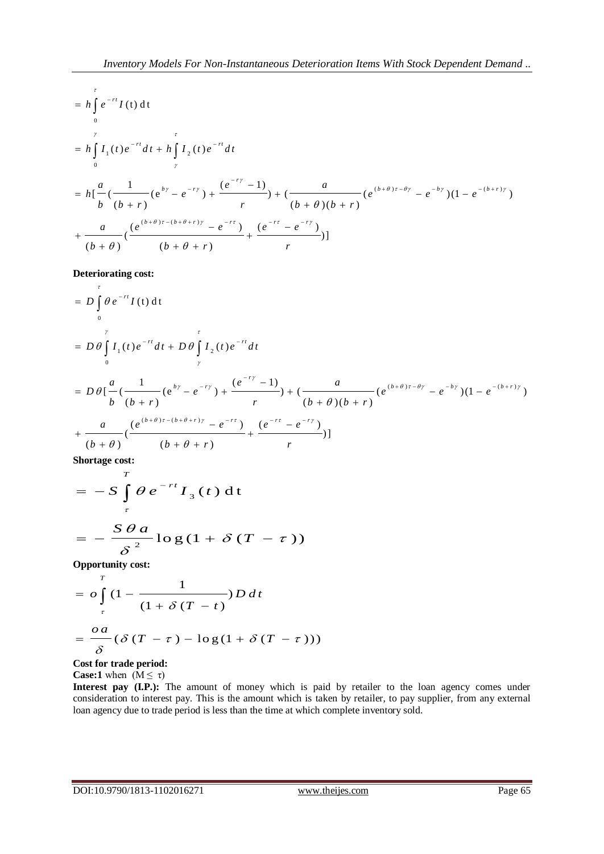However, Models For Non-Instantaneous Determination. It can be shown that the following equations are:

\n
$$
= h \int_{0}^{r} e^{-rt} I(t) dt
$$
\n
$$
= h \int_{0}^{r} I_{1}(t) e^{-rt} dt + h \int_{r}^{r} I_{2}(t) e^{-rt} dt
$$
\n
$$
= h \left[ \frac{a}{b} \left( \frac{1}{(b+r)} (e^{by} - e^{-ry}) + \frac{(e^{-ry} - 1)}{r} \right) + \left( \frac{a}{(b+\theta)(b+r)} (e^{(b+\theta)r-\theta y} - e^{-by} \right) (1 - e^{-(b+r)y}) + \frac{a}{(b+\theta)} \left( \frac{(e^{(b+\theta)r - (b+\theta+r)y} - e^{-rt})}{(b+\theta)} + \frac{(e^{-rt} - e^{-ry})}{(b+\theta)} \right) \right]
$$
\ntherefore:

\n
$$
= h \left[ \frac{a}{(b+\theta)} \left( \frac{e^{(b+\theta)r - (b+\theta+r)y} - e^{-rt}}{(b+\theta+r)} \right) + \frac{(e^{-rt} - e^{-ry})}{r} \right]
$$
\nwhere  $t$  is the same as  $t$  and  $t$  is the same as  $t$  and  $t$  are the same as  $t$  and  $t$  are the same as  $t$  and  $t$  are the same as  $t$  and  $t$  are the same as  $t$  and  $t$  are the same as  $t$  and  $t$  are the same as  $t$  and  $t$  are the same as  $t$  and  $t$  are the same as  $t$  and  $t$  are the same as  $t$  and  $t$  are the same as  $t$  and  $t$  are the same as  $t$  and  $t$  are the same as  $t$  and  $t$  are the same as  $t$  and  $t$  are the same as  $t$  and  $t$  are the same as  $t$  and  $t$  are the same as  $t$  and  $t$  are the same as  $t$  and  $t$  are the same as  $t$  and  $t$  are the same as  $t$  and  $t$  are the same as  $t$  and  $t$  are the same as  $t$  and  $t$ 

## **Deteriorating cost:**

 $\tau$ 

$$
\begin{aligned}\n\text{Deteriorating cost:} \\
&= D \int_{0}^{\tau} \theta e^{-rt} I(t) \, \mathrm{d}t \\
&= D \theta \int_{0}^{\gamma} I_{1}(t) e^{-rt} \, \mathrm{d}t + D \theta \int_{\gamma}^{t} I_{2}(t) e^{-rt} \, \mathrm{d}t \\
&= D \theta \left[ \frac{a}{b} \left( \frac{1}{(b+r)} (e^{b\gamma} - e^{-r\gamma}) + \frac{(e^{-r\gamma} - 1)}{r} \right) + \left( \frac{a}{(b+\theta)(b+r)} (e^{(b+\theta)\tau - \theta\gamma} - e^{-b\gamma}) (1 - e^{-(b+r)\gamma}) \right) \right. \\
&+ \frac{a}{(b+\theta)} \left( \frac{(e^{(b+\theta)\tau - (b+\theta+r)\gamma} - e^{-r\tau})}{(b+\theta+r)} + \frac{(e^{-r\tau} - e^{-r\gamma})}{r} \right]\n\end{aligned}
$$

**Shortage cost:**

$$
= -S \int_{\tau}^{T} \theta e^{-rt} I_{3}(t) dt
$$

$$
= -\frac{S \theta a}{\delta^{2}} \log(1 + \delta (T - \tau))
$$

**Opportunity cost:**

$$
= o \int_{\tau}^{T} (1 - \frac{1}{(1 + \delta (T - t))} D dt
$$

$$
= \frac{oa}{\delta} (\delta (T - \tau) - log(1 + \delta (T - \tau)))
$$

**Cost for trade period: Case:1** when  $(M \leq \tau)$ 

Interest pay (I.P.): The amount of money which is paid by retailer to the loan agency comes under consideration to interest pay. This is the amount which is taken by retailer, to pay supplier, from any external loan agency due to trade period is less than the time at which complete inventory sold.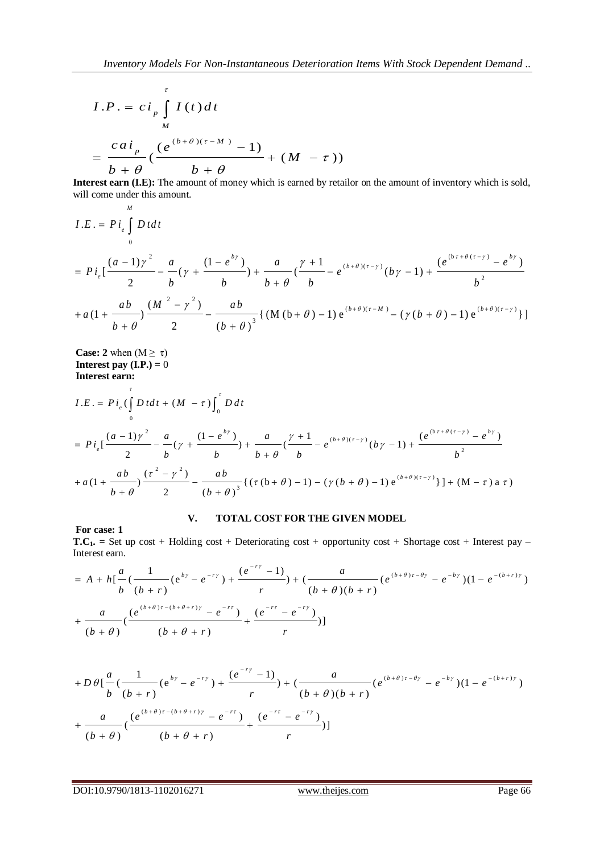$$
I.P. = ci_p \int_M I(t) dt
$$
  
= 
$$
\frac{ca i_p}{b+\theta} \left( \frac{(e^{(b+\theta)(\tau-M)}-1)}{b+\theta} + (M-\tau) \right)
$$

**Interest earn (I.E):** The amount of money which is earned by retailor on the amount of inventory which is sold, will come under this amount.

**Interest earn (i.e):** The amount of money which is earned by relation on the amount of inventory which is sold,  
\nwill come under this amount.  
\n
$$
I.E. = Pi_e \int_0^b D t dt
$$
\n
$$
= Pi_e \left[ \frac{(a-1)\gamma^2}{2} - \frac{a}{b} (\gamma + \frac{(1-e^{by})}{b}) + \frac{a}{b+\theta} (\frac{\gamma+1}{b} - e^{(b+\theta)(\tau-\gamma)} (b\gamma-1) + \frac{(e^{(b\tau+\theta(\tau-\gamma)} - e^{b\gamma})}{b^2}) + a(1+\frac{ab}{b+\theta}) \frac{(M^2-\gamma^2)}{2} - \frac{ab}{(b+\theta)^3} \left\{ (M(b+\theta)-1)e^{(b+\theta)(\tau-M)} - (\gamma(b+\theta)-1)e^{(b+\theta)(\tau-\gamma)} \right\} \right]
$$

**Case: 2** when  $(M \ge \tau)$ **Interest earn:**

Case: 2 when (M 
$$
\geq \tau
$$
)  
\nInterest pay (LP.) = 0  
\nInterest earn:  
\n
$$
I.E. = Pi_e(\int_0^{\tau} D t dt + (M - \tau) \int_0^{\tau} D dt
$$
\n
$$
= Pi_e[\frac{(a-1)\gamma^2}{2} - \frac{a}{b}(\gamma + \frac{(1-e^{by})}{b}) + \frac{a}{b+\theta}(\frac{\gamma+1}{b} - e^{(b+\theta)(\tau-\gamma)}(b\gamma-1) + \frac{(e^{(b\tau+\theta(\tau-\gamma)} - e^{by})}{b^2})
$$
\n
$$
+ a(1 + \frac{ab}{b+\theta})\frac{(\tau^2 - \gamma^2)}{2} - \frac{ab}{(b+\theta)^3} \{(\tau(b+\theta) - 1) - (\gamma(b+\theta) - 1)e^{(b+\theta)(\tau-\gamma)}\} + (M - \tau) a \tau\}
$$

## **For case: 1**

# **V. TOTAL COST FOR THE GIVEN MODEL**

**T.C1. =** Set up cost + Holding cost + Deteriorating cost + opportunity cost + Shortage cost + Interest pay – Interest earn. st + Holding cost + Deterioratin<br>  $\frac{1}{(e^{b\gamma} - e^{-r\gamma}) + \frac{(e^{-r\gamma} - 1)}{r}}$ *a* t up cost + Holding cost + Deteriorating cost + oppor<br> *a*  $\frac{a}{a}$   $\left(\frac{1}{a}\right)$   $\left(e^{bx} - e^{-ry}\right) + \frac{(e^{-ry} - 1)}{a}$  +  $\left(\frac{a}{a}\right)$ 

**T.C<sub>1</sub>** = Set up cost + Holding cost + Determining cost + opportunity cost + Shortage cost + Interest pay –  
\nInterest earn.  
\n
$$
= A + h \left[ \frac{a}{b} \left( \frac{1}{(b+r)} (e^{b\gamma} - e^{-r\gamma}) + \frac{(e^{-r\gamma} - 1)}{r} \right) + \left( \frac{a}{(b+\theta)(b+r)} (e^{(b+\theta)r-\theta\gamma} - e^{-b\gamma}) (1 - e^{-(b+r)\gamma}) \right) + \frac{a}{(b+\theta)} \left( \frac{(e^{(b+\theta)r-(b+\theta+r)\gamma} - e^{-r\gamma})}{(b+\theta)} + \frac{(e^{-r\gamma} - e^{-r\gamma})}{(b+\theta+r)} \right) \right]
$$

$$
(b + b) \qquad (b + b + r)
$$
\n
$$
+ D \theta \left[ \frac{a}{b} \left( \frac{1}{(b+r)} (e^{b\gamma} - e^{-r\gamma}) + \frac{(e^{-r\gamma} - 1)}{r} \right) + \left( \frac{a}{(b+\theta)(b+r)} (e^{(b+\theta)\tau - \theta\gamma} - e^{-b\gamma}) (1 - e^{-(b+r)\gamma}) \right) + \frac{a}{(b+\theta)} \left( \frac{(e^{(b+\theta)\tau - (b+\theta+r)\gamma} - e^{-r\tau})}{(b+\theta)} + \frac{(e^{-r\tau} - e^{-r\gamma})}{r} \right) \right]
$$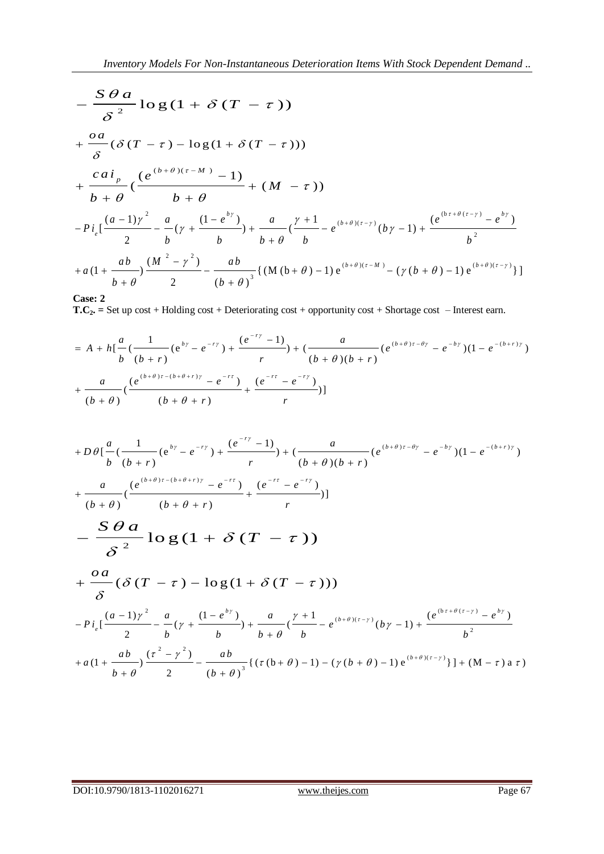$$
-\frac{S \theta a}{\delta^{2}} \log (1 + \delta (T - \tau))
$$
  
+  $\frac{oa}{\delta} (\delta (T - \tau) - \log (1 + \delta (T - \tau)))$   
+  $\frac{ca^{i}{}_{p}}{b + \theta} (\frac{(e^{(b + \theta)(\tau - M)} - 1)}{b + \theta} + (M - \tau))$   
-  $Pi_{e} \left[\frac{(a - 1)\gamma^{2}}{2} - \frac{a}{b} (\gamma + \frac{(1 - e^{b\gamma})}{b}) + \frac{a}{b + \theta} (\frac{\gamma + 1}{b} - e^{(b + \theta)(\tau - \gamma)} (b\gamma - 1) + \frac{(e^{(b\tau + \theta(\tau - \gamma)} - e^{b\gamma})}{b^{2}}\right]$   
+  $a(1 + \frac{ab}{b + \theta}) \frac{(M^{2} - \gamma^{2})}{2} - \frac{ab}{(b + \theta)^{3}} \{ (M (b + \theta) - 1) e^{(b + \theta)(\tau - M)} - (\gamma (b + \theta) - 1) e^{(b + \theta)(\tau - \gamma)} \} ]$ 

**Case: 2**

**T.C2. =** Set up cost + Holding cost + Deteriorating cost + opportunity cost + Shortage cost – Interest earn.

Case: 2  
\n**T.C<sub>2</sub>** = Set up cost + Holding cost + Determining cost + opportunity cost + Shortage cost - Interest earn.  
\n
$$
= A + h \left[ \frac{a}{b} \left( \frac{1}{(b+r)} (e^{b\gamma} - e^{-r\gamma}) + \frac{(e^{-r\gamma} - 1)}{r} \right) + \left( \frac{a}{(b+\theta)(b+r)} (e^{(b+\theta)r-\theta\gamma} - e^{-b\gamma}) (1 - e^{-(b+r)\gamma}) + \frac{a}{(b+\theta)} \left( \frac{(e^{(b+\theta)r-(b+\theta+r)\gamma} - e^{-r\gamma})}{(b+\theta)} + \frac{(e^{-r\gamma} - e^{-r\gamma})}{(b+\theta+r)} \right) \right]
$$

$$
(b + b) \t\t (b + b + r)
$$
\n
$$
+D\theta \left[ \frac{a}{b} \left( \frac{1}{(b+r)} (e^{b\gamma} - e^{-r\gamma}) + \frac{(e^{-r\gamma} - 1)}{r} \right) + \left( \frac{a}{(b+\theta)(b+r)} (e^{(b+\theta)r-\theta\gamma} - e^{-b\gamma} \right) (1 - e^{-(b+r)\gamma}) + \frac{a}{(b+\theta)} \left( \frac{(e^{(b+\theta)r-(b+\theta+r)\gamma} - e^{-r\gamma})}{(b+\theta)} + \frac{(e^{-r\gamma} - e^{-r\gamma})}{r} \right) \right]
$$
\n
$$
- \frac{S\theta a}{\delta^2} \log (1 + S(T - \tau))
$$
\n
$$
+ \frac{oa}{\delta} (\delta (T - \tau) - \log (1 + \delta (T - \tau)))
$$
\n
$$
-P_{\ell_{\varepsilon}} \left[ \frac{(a-1)\gamma^2}{2} - \frac{a}{b} (\gamma + \frac{(1-e^{b\gamma})}{b} + \frac{a}{b+\theta} (\frac{\gamma+1}{b} - e^{(b+\theta)(r-\gamma)}(b\gamma-1) + \frac{(e^{(b\gamma+\theta(r-\gamma)} - e^{b\gamma})}{b^2}) + a(1 + \frac{ab}{b+\theta} (\frac{(r^2-\gamma^2)}{2} - \frac{ab}{(b+\theta)^3} \{ (\tau(b+\theta)-1) - (\gamma(b+\theta)-1) e^{(b+\theta)(r-\gamma)} \} ] + (M - \tau) a \tau)
$$

DOI:10.9790/1813-1102016271 www.theijes.com Page 67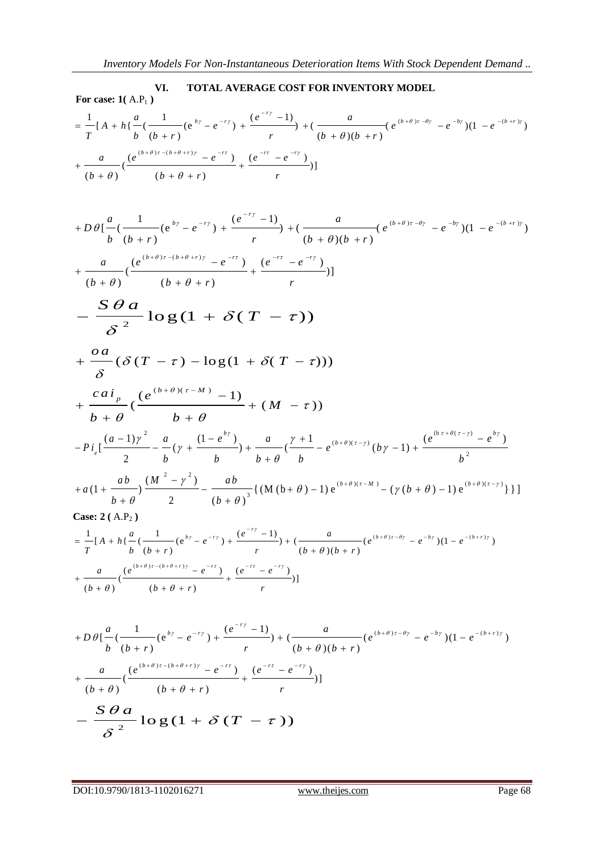**EXECUTE: 1**( A.P<sub>1</sub>)  
\nFor case: **1**( A.P<sub>1</sub>)  
\n
$$
= \frac{1}{T} [A + h\{\frac{a}{b}(\frac{1}{(b+r)}(e^{by} - e^{-ry}) + \frac{(e^{-ry} - 1)}{r}) + (\frac{a}{(b+\theta)(b+r)}(e^{(b+\theta)r-\theta r} - e^{-by})(1 - e^{-(b+r)y})
$$
\n
$$
+ \frac{a}{(b+\theta)}(\frac{(e^{(b+\theta)r-(b+\theta+r)y} - e^{-rt})}{(b+\theta+r)} + \frac{(e^{-rt} - e^{-ry})}{r})]
$$

$$
(b+0) \qquad (b+0+1) \qquad r
$$
\n
$$
+D\theta \left[ \frac{a}{b} \left( \frac{1}{b+r} \left( e^{bz} - e^{-ry} \right) + \frac{(e^{-ry} - 1)}{r} \right) + \left( \frac{a}{(b+\theta)(b+r)} \left( e^{(b+\theta)r - \theta r} - e^{-by} \right) \left( 1 - e^{-(b+ry)} \right) \right) \right]
$$
\n
$$
+ \frac{a}{(b+\theta)} \left( \frac{(e^{(b+\theta)r - (b+\theta+r)y} - e^{-rr})}{(b+\theta+r)} + \frac{(e^{-rr} - e^{-ry})}{r} \right)
$$
\n
$$
- \frac{S\theta a}{\delta^2} \log (1 + \delta (T - \tau))
$$
\n
$$
+ \frac{oa}{\delta} (\delta (T - \tau) - \log (1 + \delta (T - \tau)))
$$
\n
$$
+ \frac{ca}{b+\theta} \left( \frac{(e^{(b+\theta)(\tau-M)} - 1)}{b+\theta} + (M - \tau) \right)
$$
\n
$$
-Pi_{\epsilon} \left[ \frac{(a-1)\gamma^2}{2} - \frac{a}{b} (\gamma + \frac{(1-e^{ky})}{b}) + \frac{a}{b+\theta} \left( \frac{\gamma+1}{b} - e^{(b+\theta)(\tau-\gamma)} (b\gamma-1) + \frac{(e^{(b+\theta)(\tau-\gamma)} - e^{by})}{b^2} \right) \right]
$$
\n
$$
+a(1+\frac{ab}{b+\theta}) \frac{(M^2-\gamma^2)}{2} - \frac{ab}{(b+\theta)^3} \{ (M(b+\theta)-1) e^{(b+\theta)(\tau-M)} - (\gamma(b+\theta)-1) e^{(b+\theta)(\tau-\gamma)} \} ]
$$
\n
$$
Case: 2 (A.P_2)
$$
\n
$$
= \frac{1}{T} [A+h] \frac{a}{b} \left( \frac{1}{b+r} (e^{bz} - e^{-ry}) + \frac{(e^{-ry} - 1)}{r} \right) + \frac{a}{(b+\theta)(b+r)} (e^{(b+\theta)(\tau-\theta)} - e^{-by}) (1 - e^{-(b+r)y})
$$

$$
= \frac{1}{T} [A + h \{ \frac{a}{b} \left( \frac{1}{(b+r)} (e^{b\gamma} - e^{-r\gamma}) + \frac{(e^{-r\gamma} - 1)}{r} \right) + \left( \frac{a}{(b+\theta)(b+r)} (e^{(b+\theta)r-\theta\gamma} - e^{-b\gamma}) (1 - e^{-(b+r)\gamma}) + \frac{a}{(b+\theta)} \left( \frac{(e^{(b+\theta)r-(b+\theta+r)\gamma} - e^{-r\gamma})}{(b+\theta)} + \frac{(e^{-r\gamma} - e^{-r\gamma})}{r} \right) ]
$$

$$
(b + b) \qquad (b + b + r)
$$
\n
$$
+ D \theta \left[ \frac{a}{b} \left( \frac{1}{(b+r)} (e^{b\gamma} - e^{-r\gamma}) + \frac{(e^{-r\gamma} - 1)}{r} \right) + \left( \frac{a}{(b+\theta)(b+r)} (e^{(b+\theta)r-\theta\gamma} - e^{-b\gamma}) (1 - e^{-(b+r)\gamma}) \right) + \frac{a}{(b+\theta)} \left( \frac{(e^{(b+\theta)r-(b+\theta+r)\gamma} - e^{-r\gamma})}{(b+\theta)} + \frac{(e^{-r\tau} - e^{-r\gamma})}{r} \right) \right]
$$
\n
$$
- \frac{S \theta a}{\delta^2} \log (1 + S (T - \tau))
$$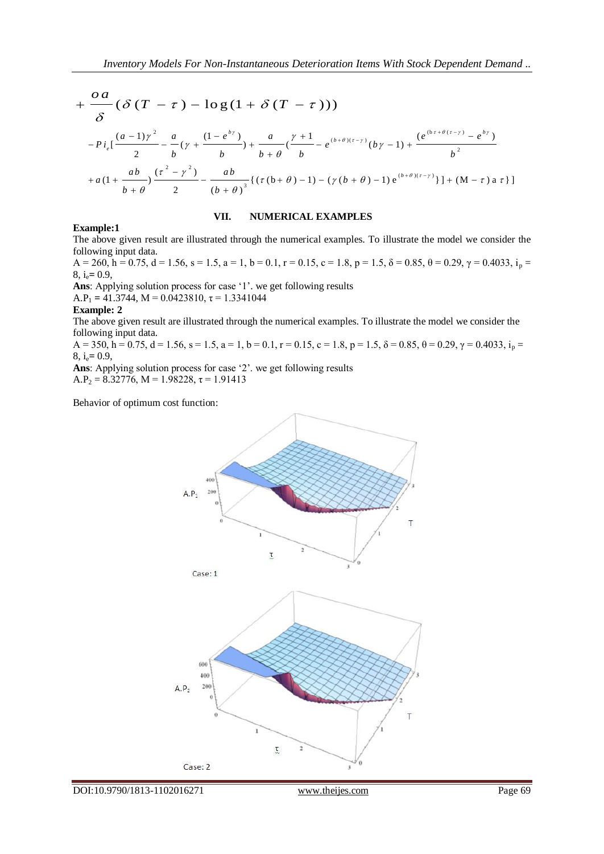$$
+\frac{oa}{\delta}(\delta(T-\tau)-\log(1+\delta(T-\tau)))
$$
\n
$$
-\frac{Pi}{\delta}\left[\frac{(a-1)\gamma^2}{2}-\frac{a}{b}(\gamma+\frac{(1-e^{by})}{b})+\frac{a}{b+\theta}\left(\frac{\gamma+1}{b}-e^{(b+\theta)(\tau-\gamma)}(b\gamma-1)+\frac{(e^{(b\tau+\theta(\tau-\gamma)}-e^{by})}{b^2}\right)\right]
$$
\n
$$
+a(1+\frac{ab}{b+\theta})\frac{(\tau^2-\gamma^2)}{2}-\frac{ab}{(b+\theta)^3}\{(\tau(b+\theta)-1)-(\gamma(b+\theta)-1)e^{(b+\theta)(\tau-\gamma)}\}]+(M-\tau)a\tau\}
$$

#### **VII. NUMERICAL EXAMPLES**

#### **Example:1**

The above given result are illustrated through the numerical examples. To illustrate the model we consider the following input data.

 $A = 260$ ,  $h = 0.75$ ,  $d = 1.56$ ,  $s = 1.5$ ,  $a = 1$ ,  $b = 0.1$ ,  $r = 0.15$ ,  $c = 1.8$ ,  $p = 1.5$ ,  $\delta = 0.85$ ,  $\theta = 0.29$ ,  $\gamma = 0.4033$ ,  $i_p = 0.4033$ ,  $i_p = 0.4033$ 8, ie**=** 0.9,

**Ans**: Applying solution process for case '1'. we get following results

A.P<sub>1</sub> = 41.3744, M = 0.0423810,  $\tau$  = 1.3341044

#### **Example: 2**

The above given result are illustrated through the numerical examples. To illustrate the model we consider the following input data.

 $A = 350$ ,  $h = 0.75$ ,  $d = 1.56$ ,  $s = 1.5$ ,  $a = 1$ ,  $b = 0.1$ ,  $r = 0.15$ ,  $c = 1.8$ ,  $p = 1.5$ ,  $\delta = 0.85$ ,  $\theta = 0.29$ ,  $\gamma = 0.4033$ ,  $i_p = 0.4033$ ,  $i_p = 0.4033$ 8, ie**=** 0.9,

**Ans**: Applying solution process for case '2'. we get following results A.P<sub>2</sub> = 8.32776, M = 1.98228,  $\tau$  = 1.91413

Behavior of optimum cost function:

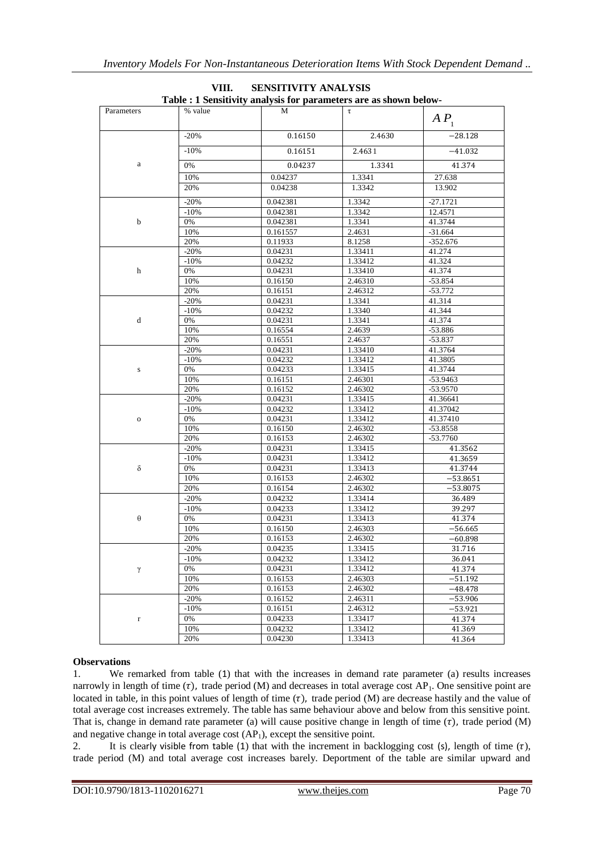| Parameters  | % value | М        | τ       | AP <sub>1</sub>  |
|-------------|---------|----------|---------|------------------|
|             | $-20%$  | 0.16150  | 2.4630  | $-28.128$        |
|             | $-10%$  | 0.16151  | 2.4631  | $-41.032$        |
| a           | 0%      | 0.04237  | 1.3341  | 41.374           |
|             | 10%     | 0.04237  | 1.3341  | 27.638           |
|             | 20%     | 0.04238  | 1.3342  | 13.902           |
| b           | $-20%$  | 0.042381 | 1.3342  | $-27.1721$       |
|             | $-10%$  | 0.042381 | 1.3342  | 12.4571          |
|             | 0%      | 0.042381 | 1.3341  | 41.3744          |
|             | 10%     | 0.161557 | 2.4631  | $-31.664$        |
|             | 20%     | 0.11933  | 8.1258  | $-352.676$       |
| h           | $-20%$  | 0.04231  | 1.33411 | 41.274           |
|             | $-10%$  | 0.04232  | 1.33412 | 41.324           |
|             | 0%      | 0.04231  | 1.33410 | 41.374           |
|             | 10%     | 0.16150  | 2.46310 | $-53.854$        |
|             | 20%     | 0.16151  | 2.46312 | $-53.772$        |
|             | $-20%$  | 0.04231  | 1.3341  | 41.314           |
| d           | $-10%$  | 0.04232  | 1.3340  | 41.344           |
|             | 0%      | 0.04231  | 1.3341  | 41.374           |
|             | 10%     |          | 2.4639  | $-53.886$        |
|             |         | 0.16554  |         |                  |
| s           | 20%     | 0.16551  | 2.4637  | $-53.837$        |
|             | $-20%$  | 0.04231  | 1.33410 | 41.3764          |
|             | $-10%$  | 0.04232  | 1.33412 | 41.3805          |
|             | 0%      | 0.04233  | 1.33415 | 41.3744          |
|             | 10%     | 0.16151  | 2.46301 | -53.9463         |
|             | 20%     | 0.16152  | 2.46302 | $-53.9570$       |
| $\mathbf 0$ | $-20%$  | 0.04231  | 1.33415 | 41.36641         |
|             | $-10%$  | 0.04232  | 1.33412 | 41.37042         |
|             | 0%      | 0.04231  | 1.33412 | 41.37410         |
|             | 10%     | 0.16150  | 2.46302 | -53.8558         |
|             | 20%     | 0.16153  | 2.46302 | $-53.7760$       |
| δ           | $-20%$  | 0.04231  | 1.33415 | 41.3562          |
|             | $-10%$  | 0.04231  | 1.33412 | 41.3659          |
|             | $0\%$   | 0.04231  | 1.33413 | 41.3744          |
|             | 10%     | 0.16153  | 2.46302 | $-53.8651$       |
|             | 20%     | 0.16154  | 2.46302 | $-53.8075$       |
| $\theta$    | $-20%$  | 0.04232  | 1.33414 | 36.489           |
|             | $-10%$  | 0.04233  | 1.33412 | 39.297           |
|             | 0%      | 0.04231  | 1.33413 | 41.374           |
|             | 10%     | 0.16150  | 2.46303 | $-56.665$        |
|             | 20%     | 0.16153  | 2.46302 | $-60.898$        |
| γ           | $-20%$  | 0.04235  | 1.33415 | 31.716           |
|             | $-10%$  | 0.04232  | 1.33412 |                  |
|             | 0%      | 0.04231  | 1.33412 | 36.041<br>41.374 |
|             | 10%     | 0.16153  | 2.46303 | $-51.192$        |
|             | 20%     | 0.16153  | 2.46302 | $-48.478$        |
|             | $-20%$  | 0.16152  | 2.46311 |                  |
|             |         |          |         | $-53.906$        |
|             | $-10%$  | 0.16151  | 2.46312 | $-53.921$        |
| r           | 0%      | 0.04233  | 1.33417 | 41.374           |
|             | 10%     | 0.04232  | 1.33412 | 41.369           |
|             | 20%     | 0.04230  | 1.33413 | 41.364           |

#### **VIII. SENSITIVITY ANALYSIS Table : 1 Sensitivity analysis for parameters are as shown below-**

## **Observations**

1. We remarked from table (1) that with the increases in demand rate parameter (a) results increases narrowly in length of time  $(\tau)$ , trade period (M) and decreases in total average cost AP<sub>1</sub>. One sensitive point are located in table, in this point values of length of time  $(\tau)$ , trade period (M) are decrease hastily and the value of total average cost increases extremely. The table has same behaviour above and below from this sensitive point. That is, change in demand rate parameter (a) will cause positive change in length of time  $(\tau)$ , trade period (M) and negative change in total average cost  $(AP<sub>1</sub>)$ , except the sensitive point.

2. It is clearly visible from table (1) that with the increment in backlogging cost (s), length of time  $(τ)$ , trade period (M) and total average cost increases barely. Deportment of the table are similar upward and